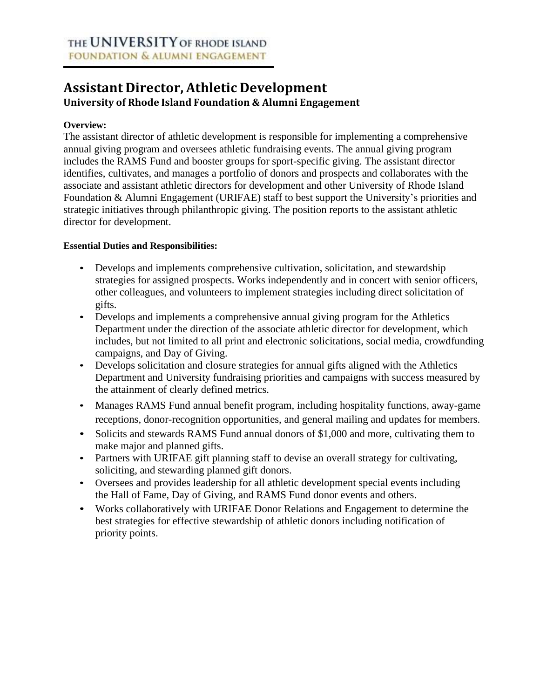# **Assistant Director, Athletic Development University of Rhode Island Foundation & Alumni Engagement**

#### **Overview:**

The assistant director of athletic development is responsible for implementing a comprehensive annual giving program and oversees athletic fundraising events. The annual giving program includes the RAMS Fund and booster groups for sport-specific giving. The assistant director identifies, cultivates, and manages a portfolio of donors and prospects and collaborates with the associate and assistant athletic directors for development and other University of Rhode Island Foundation & Alumni Engagement (URIFAE) staff to best support the University's priorities and strategic initiatives through philanthropic giving. The position reports to the assistant athletic director for development.

#### **Essential Duties and Responsibilities:**

- Develops and implements comprehensive cultivation, solicitation, and stewardship strategies for assigned prospects. Works independently and in concert with senior officers, other colleagues, and volunteers to implement strategies including direct solicitation of gifts.
- Develops and implements a comprehensive annual giving program for the Athletics Department under the direction of the associate athletic director for development, which includes, but not limited to all print and electronic solicitations, social media, crowdfunding campaigns, and Day of Giving.
- Develops solicitation and closure strategies for annual gifts aligned with the Athletics Department and University fundraising priorities and campaigns with success measured by the attainment of clearly defined metrics.
- Manages RAMS Fund annual benefit program, including hospitality functions, away-game receptions, donor-recognition opportunities, and general mailing and updates for members.
- Solicits and stewards RAMS Fund annual donors of \$1,000 and more, cultivating them to make major and planned gifts.
- Partners with URIFAE gift planning staff to devise an overall strategy for cultivating, soliciting, and stewarding planned gift donors.
- Oversees and provides leadership for all athletic development special events including the Hall of Fame, Day of Giving, and RAMS Fund donor events and others.
- Works collaboratively with URIFAE Donor Relations and Engagement to determine the best strategies for effective stewardship of athletic donors including notification of priority points.